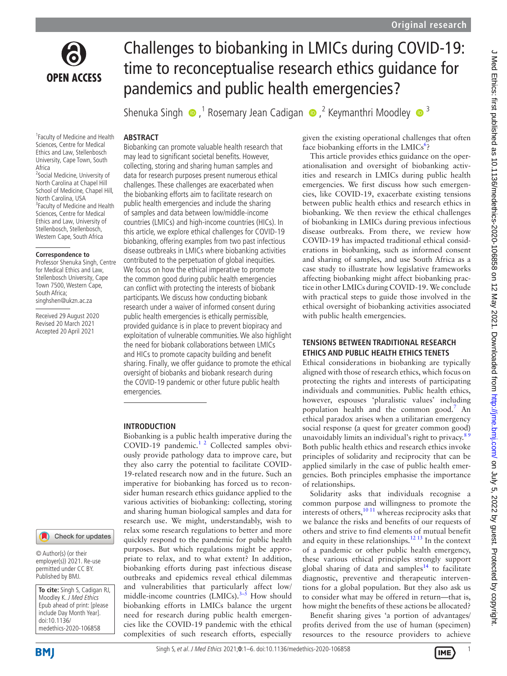

# Challenges to biobanking in LMICs during COVID-19: time to reconceptualise research ethics guidance for pandemics and public health emergencies?

ShenukaSingh  $\bigcirc$ ,<sup>1</sup> Rosemary Jean Cadigan  $\bigcirc$ ,<sup>2</sup> Keymanthri Moodley  $\bigcirc$ <sup>3</sup>

# **ABSTRACT**

1 Faculty of Medicine and Health Sciences, Centre for Medical Ethics and Law, Stellenbosch University, Cape Town, South Africa 2 Social Medicine, University of

North Carolina at Chapel Hill School of Medicine, Chapel Hill, North Carolina, USA <sup>3</sup> Faculty of Medicine and Health Sciences, Centre for Medical Ethics and Law, University of Stellenbosch, Stellenbosch, Western Cape, South Africa

#### **Correspondence to**

Professor Shenuka Singh, Centre for Medical Ethics and Law, Stellenbosch University, Cape Town 7500, Western Cape, South Africa; singhshen@ukzn.ac.za

Received 29 August 2020 Revised 20 March 2021 Accepted 20 April 2021

Biobanking can promote valuable health research that may lead to significant societal benefits. However, collecting, storing and sharing human samples and data for research purposes present numerous ethical challenges. These challenges are exacerbated when the biobanking efforts aim to facilitate research on public health emergencies and include the sharing of samples and data between low/middle-income countries (LMICs) and high-income countries (HICs). In this article, we explore ethical challenges for COVID-19 biobanking, offering examples from two past infectious disease outbreaks in LMICs where biobanking activities contributed to the perpetuation of global inequities. We focus on how the ethical imperative to promote the common good during public health emergencies can conflict with protecting the interests of biobank participants. We discuss how conducting biobank research under a waiver of informed consent during public health emergencies is ethically permissible, provided guidance is in place to prevent biopiracy and exploitation of vulnerable communities. We also highlight the need for biobank collaborations between LMICs and HICs to promote capacity building and benefit sharing. Finally, we offer guidance to promote the ethical oversight of biobanks and biobank research during the COVID-19 pandemic or other future public health emergencies.

### **INTRODUCTION**

Biobanking is a public health imperative during the COVID-19 pandemic[.1 2](#page-4-0) Collected samples obviously provide pathology data to improve care, but they also carry the potential to facilitate COVID-19-related research now and in the future. Such an imperative for biobanking has forced us to reconsider human research ethics guidance applied to the various activities of biobanking: collecting, storing and sharing human biological samples and data for research use. We might, understandably, wish to relax some research regulations to better and more quickly respond to the pandemic for public health purposes. But which regulations might be appropriate to relax, and to what extent? In addition, biobanking efforts during past infectious disease outbreaks and epidemics reveal ethical dilemmas and vulnerabilities that particularly affect low/ middle-income countries  $(LMICs).$ <sup>3–5</sup> How should biobanking efforts in LMICs balance the urgent need for research during public health emergencies like the COVID-19 pandemic with the ethical complexities of such research efforts, especially

given the existing operational challenges that often face biobanking efforts in the LMICs<sup>[6](#page-4-2)</sup>?

This article provides ethics guidance on the operationalisation and oversight of biobanking activities and research in LMICs during public health emergencies. We first discuss how such emergencies, like COVID-19, exacerbate existing tensions between public health ethics and research ethics in biobanking. We then review the ethical challenges of biobanking in LMICs during previous infectious disease outbreaks. From there, we review how COVID-19 has impacted traditional ethical considerations in biobanking, such as informed consent and sharing of samples, and use South Africa as a case study to illustrate how legislative frameworks affecting biobanking might affect biobanking practice in other LMICs during COVID-19. We conclude with practical steps to guide those involved in the ethical oversight of biobanking activities associated with public health emergencies.

# **TENSIONS BETWEEN TRADITIONAL RESEARCH ETHICS AND PUBLIC HEALTH ETHICS TENETS**

Ethical considerations in biobanking are typically aligned with those of research ethics, which focus on protecting the rights and interests of participating individuals and communities. Public health ethics, however, espouses 'pluralistic values' including population health and the common good.<sup>[7](#page-4-3)</sup> An ethical paradox arises when a utilitarian emergency social response (a quest for greater common good) unavoidably limits an individual's right to privacy.<sup>8</sup> Both public health ethics and research ethics invoke principles of solidarity and reciprocity that can be applied similarly in the case of public health emergencies. Both principles emphasise the importance of relationships.

Solidarity asks that individuals recognise a common purpose and willingness to promote the interests of others, $10^{11}$  whereas reciprocity asks that we balance the risks and benefits of our requests of others and strive to find elements of mutual benefit and equity in these relationships. $12 13$  In the context of a pandemic or other public health emergency, these various ethical principles strongly support global sharing of data and samples<sup>14</sup> to facilitate diagnostic, preventive and therapeutic interventions for a global population. But they also ask us to consider what may be offered in return—that is, how might the benefits of these actions be allocated?

Benefit sharing gives 'a portion of advantages/ profits derived from the use of human (specimen) resources to the resource providers to achieve



**To cite:** Singh S, Cadigan RJ, Moodley K. J Med Ethics Epub ahead of print: [please include Day Month Year]. doi:10.1136/ medethics-2020-106858

Check for updates

© Author(s) (or their employer(s)) 2021. Re-use permitted under CC BY. Published by BMJ.

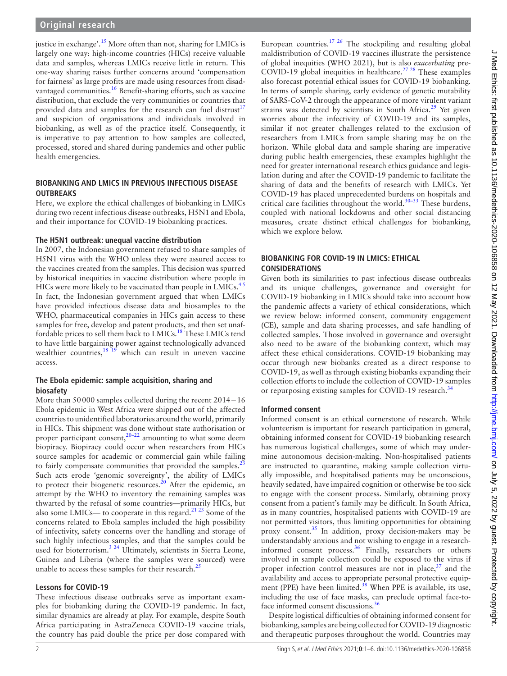justice in exchange'.<sup>15</sup> More often than not, sharing for LMICs is largely one way: high-income countries (HICs) receive valuable data and samples, whereas LMICs receive little in return. This one-way sharing raises further concerns around 'compensation for fairness' as large profits are made using resources from disad-vantaged communities.<sup>[16](#page-4-9)</sup> Benefit-sharing efforts, such as vaccine distribution, that exclude the very communities or countries that provided data and samples for the research can fuel distrust<sup>[17](#page-4-10)</sup> and suspicion of organisations and individuals involved in biobanking, as well as of the practice itself. Consequently, it is imperative to pay attention to how samples are collected, processed, stored and shared during pandemics and other public health emergencies.

# **BIOBANKING AND LMICS IN PREVIOUS INFECTIOUS DISEASE OUTRREAKS**

Here, we explore the ethical challenges of biobanking in LMICs during two recent infectious disease outbreaks, H5N1 and Ebola, and their importance for COVID-19 biobanking practices.

#### **The H5N1 outbreak: unequal vaccine distribution**

In 2007, the Indonesian government refused to share samples of H5N1 virus with the WHO unless they were assured access to the vaccines created from the samples. This decision was spurred by historical inequities in vaccine distribution where people in HICs were more likely to be vaccinated than people in LMICs. $4<sup>5</sup>$ In fact, the Indonesian government argued that when LMICs have provided infectious disease data and biosamples to the WHO, pharmaceutical companies in HICs gain access to these samples for free, develop and patent products, and then set unaffordable prices to sell them back to LMICs[.18](#page-4-12) These LMICs tend to have little bargaining power against technologically advanced wealthier countries,<sup>[18 19](#page-4-12)</sup> which can result in uneven vaccine access.

### **The Ebola epidemic: sample acquisition, sharing and biosafety**

More than 50000 samples collected during the recent 2014−16 Ebola epidemic in West Africa were shipped out of the affected countries to unidentified laboratories around the world, primarily in HICs. This shipment was done without state authorisation or proper participant consent, $2^{0-22}$  amounting to what some deem biopiracy. Biopiracy could occur when researchers from HICs source samples for academic or commercial gain while failing to fairly compensate communities that provided the samples. $2$ Such acts erode 'genomic sovereignty', the ability of LMICs to protect their biogenetic resources.<sup>[20](#page-4-13)</sup> After the epidemic, an attempt by the WHO to inventory the remaining samples was thwarted by the refusal of some countries—primarily HICs, but also some LMICs— to cooperate in this regard. $2123$  Some of the concerns related to Ebola samples included the high possibility of infectivity, safety concerns over the handling and storage of such highly infectious samples, and that the samples could be used for bioterrorism.<sup>[3 24](#page-4-1)</sup> Ultimately, scientists in Sierra Leone, Guinea and Liberia (where the samples were sourced) were unable to access these samples for their research.<sup>[25](#page-4-16)</sup>

### **Lessons for COVID-19**

These infectious disease outbreaks serve as important examples for biobanking during the COVID-19 pandemic. In fact, similar dynamics are already at play. For example, despite South Africa participating in AstraZeneca COVID-19 vaccine trials, the country has paid double the price per dose compared with

European countries.<sup>17 26</sup> The stockpiling and resulting global maldistribution of COVID-19 vaccines illustrate the persistence of global inequities (WHO 2021), but is also *exacerbating* pre-COVID-19 global inequities in healthcare.<sup>27</sup> <sup>28</sup> These examples also forecast potential ethical issues for COVID-19 biobanking. In terms of sample sharing, early evidence of genetic mutability of SARS-CoV-2 through the appearance of more virulent variant strains was detected by scientists in South Africa.<sup>29</sup> Yet given worries about the infectivity of COVID-19 and its samples, similar if not greater challenges related to the exclusion of researchers from LMICs from sample sharing may be on the horizon. While global data and sample sharing are imperative during public health emergencies, these examples highlight the need for greater international research ethics guidance and legislation during and after the COVID-19 pandemic to facilitate the sharing of data and the benefits of research with LMICs. Yet COVID-19 has placed unprecedented burdens on hospitals and critical care facilities throughout the world. $30-33$  These burdens, coupled with national lockdowns and other social distancing measures, create distinct ethical challenges for biobanking, which we explore below.

# **BIOBANKING FOR COVID-19 IN LMICS: ETHICAL CONSIDERATIONS**

Given both its similarities to past infectious disease outbreaks and its unique challenges, governance and oversight for COVID-19 biobanking in LMICs should take into account how the pandemic affects a variety of ethical considerations, which we review below: informed consent, community engagement (CE), sample and data sharing processes, and safe handling of collected samples. Those involved in governance and oversight also need to be aware of the biobanking context, which may affect these ethical considerations. COVID-19 biobanking may occur through new biobanks created as a direct response to COVID-19, as well as through existing biobanks expanding their collection efforts to include the collection of COVID-19 samples or repurposing existing samples for COVID-19 research.<sup>[34](#page-4-20)</sup>

### **Informed consent**

Informed consent is an ethical cornerstone of research. While volunteerism is important for research participation in general, obtaining informed consent for COVID-19 biobanking research has numerous logistical challenges, some of which may undermine autonomous decision-making. Non-hospitalised patients are instructed to quarantine, making sample collection virtually impossible, and hospitalised patients may be unconscious, heavily sedated, have impaired cognition or otherwise be too sick to engage with the consent process. Similarly, obtaining proxy consent from a patient's family may be difficult. In South Africa, as in many countries, hospitalised patients with COVID-19 are not permitted visitors, thus limiting opportunities for obtaining proxy consent. $35$  In addition, proxy decision-makers may be understandably anxious and not wishing to engage in a researchinformed consent process.[36](#page-4-22) Finally, researchers or others involved in sample collection could be exposed to the virus if proper infection control measures are not in place, $37$  and the availability and access to appropriate personal protective equipment (PPE) have been limited. $38$  When PPE is available, its use, including the use of face masks, can preclude optimal face-to-face informed consent discussions.<sup>[36](#page-4-22)</sup>

Despite logistical difficulties of obtaining informed consent for biobanking, samples are being collected for COVID-19 diagnostic and therapeutic purposes throughout the world. Countries may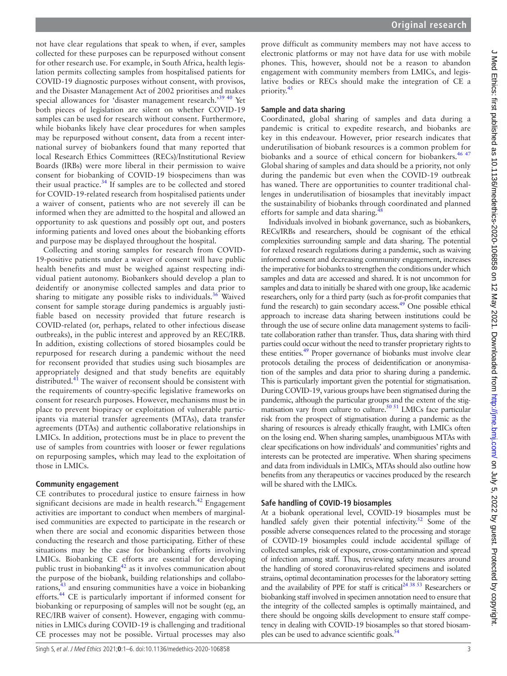not have clear regulations that speak to when, if ever, samples collected for these purposes can be repurposed without consent for other research use. For example, in South Africa, health legislation permits collecting samples from hospitalised patients for COVID-19 diagnostic purposes without consent, with provisos, and the Disaster Management Act of 2002 prioritises and makes special allowances for 'disaster management research.'[39 40](#page-4-25) Yet both pieces of legislation are silent on whether COVID-19 samples can be used for research without consent. Furthermore, while biobanks likely have clear procedures for when samples may be repurposed without consent, data from a recent international survey of biobankers found that many reported that local Research Ethics Committees (RECs)/Institutional Review Boards (IRBs) were more liberal in their permission to waive consent for biobanking of COVID-19 biospecimens than was their usual practice[.34](#page-4-20) If samples are to be collected and stored for COVID-19-related research from hospitalised patients under a waiver of consent, patients who are not severely ill can be informed when they are admitted to the hospital and allowed an opportunity to ask questions and possibly opt out, and posters informing patients and loved ones about the biobanking efforts and purpose may be displayed throughout the hospital.

Collecting and storing samples for research from COVID-19-positive patients under a waiver of consent will have public health benefits and must be weighed against respecting individual patient autonomy. Biobankers should develop a plan to deidentify or anonymise collected samples and data prior to sharing to mitigate any possible risks to individuals.<sup>[36](#page-4-22)</sup> Waived consent for sample storage during pandemics is arguably justifiable based on necessity provided that future research is COVID-related (or, perhaps, related to other infectious disease outbreaks), in the public interest and approved by an REC/IRB. In addition, existing collections of stored biosamples could be repurposed for research during a pandemic without the need for reconsent provided that studies using such biosamples are appropriately designed and that study benefits are equitably distributed.<sup>41</sup> The waiver of reconsent should be consistent with the requirements of country-specific legislative frameworks on consent for research purposes. However, mechanisms must be in place to prevent biopiracy or exploitation of vulnerable participants via material transfer agreements (MTAs), data transfer agreements (DTAs) and authentic collaborative relationships in LMICs. In addition, protections must be in place to prevent the use of samples from countries with looser or fewer regulations on repurposing samples, which may lead to the exploitation of those in LMICs.

### **Community engagement**

CE contributes to procedural justice to ensure fairness in how significant decisions are made in health research. $42$  Engagement activities are important to conduct when members of marginalised communities are expected to participate in the research or when there are social and economic disparities between those conducting the research and those participating. Either of these situations may be the case for biobanking efforts involving LMICs. Biobanking CE efforts are essential for developing public trust in biobanking $42$  as it involves communication about the purpose of the biobank, building relationships and collaborations, $43$  and ensuring communities have a voice in biobanking efforts.[44](#page-4-29) CE is particularly important if informed consent for biobanking or repurposing of samples will not be sought (eg, an REC/IRB waiver of consent). However, engaging with communities in LMICs during COVID-19 is challenging and traditional CE processes may not be possible. Virtual processes may also

prove difficult as community members may not have access to electronic platforms or may not have data for use with mobile phones. This, however, should not be a reason to abandon engagement with community members from LMICs, and legislative bodies or RECs should make the integration of CE a priority.<sup>[45](#page-4-30)</sup>

# **Sample and data sharing**

Coordinated, global sharing of samples and data during a pandemic is critical to expedite research, and biobanks are key in this endeavour. However, prior research indicates that underutilisation of biobank resources is a common problem for biobanks and a source of ethical concern for biobankers.<sup>46 47</sup> Global sharing of samples and data should be a priority, not only during the pandemic but even when the COVID-19 outbreak has waned. There are opportunities to counter traditional challenges in underutilisation of biosamples that inevitably impact the sustainability of biobanks through coordinated and planned efforts for sample and data sharing.<sup>4</sup>

Individuals involved in biobank governance, such as biobankers, RECs/IRBs and researchers, should be cognisant of the ethical complexities surrounding sample and data sharing. The potential for relaxed research regulations during a pandemic, such as waiving informed consent and decreasing community engagement, increases the imperative for biobanks to strengthen the conditions under which samples and data are accessed and shared. It is not uncommon for samples and data to initially be shared with one group, like academic researchers, only for a third party (such as for-profit companies that fund the research) to gain secondary access.<sup>49</sup> One possible ethical approach to increase data sharing between institutions could be through the use of secure online data management systems to facilitate collaboration rather than transfer. Thus, data sharing with third parties could occur without the need to transfer proprietary rights to these entities.<sup>49</sup> Proper governance of biobanks must involve clear protocols detailing the process of deidentification or anonymisation of the samples and data prior to sharing during a pandemic. This is particularly important given the potential for stigmatisation. During COVID-19, various groups have been stigmatised during the pandemic, although the particular groups and the extent of the stigmatisation vary from culture to culture.<sup>50 51</sup> LMICs face particular risk from the prospect of stigmatisation during a pandemic as the sharing of resources is already ethically fraught, with LMICs often on the losing end. When sharing samples, unambiguous MTAs with clear specifications on how individuals' and communities' rights and interests can be protected are imperative. When sharing specimens and data from individuals in LMICs, MTAs should also outline how benefits from any therapeutics or vaccines produced by the research will be shared with the LMICs.

# **Safe handling of COVID-19 biosamples**

At a biobank operational level, COVID-19 biosamples must be handled safely given their potential infectivity. $52$  Some of the possible adverse consequences related to the processing and storage of COVID-19 biosamples could include accidental spillage of collected samples, risk of exposure, cross-contamination and spread of infection among staff. Thus, reviewing safety measures around the handling of stored coronavirus-related specimens and isolated strains, optimal decontamination processes for the laboratory setting and the availability of PPE for staff is critical<sup>24 38 53</sup> Researchers or biobanking staff involved in specimen annotation need to ensure that the integrity of the collected samples is optimally maintained, and there should be ongoing skills development to ensure staff competency in dealing with COVID-19 biosamples so that stored biosamples can be used to advance scientific goals.<sup>54</sup>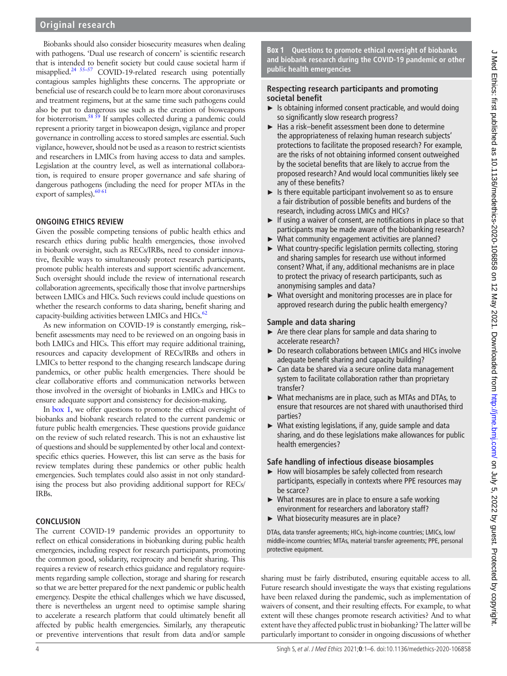# **Original research**

Biobanks should also consider biosecurity measures when dealing with pathogens. 'Dual use research of concern' is scientific research that is intended to benefit society but could cause societal harm if misapplied[.24 55–57](#page-4-33) COVID-19-related research using potentially contagious samples highlights these concerns. The appropriate or beneficial use of research could be to learn more about coronaviruses and treatment regimens, but at the same time such pathogens could also be put to dangerous use such as the creation of bioweapons for bioterrorism.<sup>58 59</sup> If samples collected during a pandemic could represent a priority target in bioweapon design, vigilance and proper governance in controlling access to stored samples are essential. Such vigilance, however, should not be used as a reason to restrict scientists and researchers in LMICs from having access to data and samples. Legislation at the country level, as well as international collaboration, is required to ensure proper governance and safe sharing of dangerous pathogens (including the need for proper MTAs in the export of samples). $60\frac{61}{100}$ 

#### **ONGOING ETHICS REVIEW**

Given the possible competing tensions of public health ethics and research ethics during public health emergencies, those involved in biobank oversight, such as RECs/IRBs, need to consider innovative, flexible ways to simultaneously protect research participants, promote public health interests and support scientific advancement. Such oversight should include the review of international research collaboration agreements, specifically those that involve partnerships between LMICs and HICs. Such reviews could include questions on whether the research conforms to data sharing, benefit sharing and capacity-building activities between LMICs and HICs.<sup>62</sup>

As new information on COVID-19 is constantly emerging, risk– benefit assessments may need to be reviewed on an ongoing basis in both LMICs and HICs. This effort may require additional training, resources and capacity development of RECs/IRBs and others in LMICs to better respond to the changing research landscape during pandemics, or other public health emergencies. There should be clear collaborative efforts and communication networks between those involved in the oversight of biobanks in LMICs and HICs to ensure adequate support and consistency for decision-making.

In [box](#page-3-0) 1, we offer questions to promote the ethical oversight of biobanks and biobank research related to the current pandemic or future public health emergencies. These questions provide guidance on the review of such related research. This is not an exhaustive list of questions and should be supplemented by other local and contextspecific ethics queries. However, this list can serve as the basis for review templates during these pandemics or other public health emergencies. Such templates could also assist in not only standardising the process but also providing additional support for RECs/ IRBs.

#### **CONCLUSION**

The current COVID-19 pandemic provides an opportunity to reflect on ethical considerations in biobanking during public health emergencies, including respect for research participants, promoting the common good, solidarity, reciprocity and benefit sharing. This requires a review of research ethics guidance and regulatory requirements regarding sample collection, storage and sharing for research so that we are better prepared for the next pandemic or public health emergency. Despite the ethical challenges which we have discussed, there is nevertheless an urgent need to optimise sample sharing to accelerate a research platform that could ultimately benefit all affected by public health emergencies. Similarly, any therapeutic or preventive interventions that result from data and/or sample

**Box 1 Questions to promote ethical oversight of biobanks and biobank research during the COVID-19 pandemic or other public health emergencies**

#### <span id="page-3-0"></span>**Respecting research participants and promoting societal benefit**

- $\blacktriangleright$  Is obtaining informed consent practicable, and would doing so significantly slow research progress?
- ► Has a risk–benefit assessment been done to determine the appropriateness of relaxing human research subjects' protections to facilitate the proposed research? For example, are the risks of not obtaining informed consent outweighed by the societal benefits that are likely to accrue from the proposed research? And would local communities likely see any of these benefits?
- $\blacktriangleright$  Is there equitable participant involvement so as to ensure a fair distribution of possible benefits and burdens of the research, including across LMICs and HICs?
- ► If using a waiver of consent, are notifications in place so that participants may be made aware of the biobanking research?
- What community engagement activities are planned?
- ► What country-specific legislation permits collecting, storing and sharing samples for research use without informed consent? What, if any, additional mechanisms are in place to protect the privacy of research participants, such as anonymising samples and data?
- ► What oversight and monitoring processes are in place for approved research during the public health emergency?

#### **Sample and data sharing**

- $\triangleright$  Are there clear plans for sample and data sharing to accelerate research?
- ► Do research collaborations between LMICs and HICs involve adequate benefit sharing and capacity building?
- ► Can data be shared via a secure online data management system to facilitate collaboration rather than proprietary transfer?
- ► What mechanisms are in place, such as MTAs and DTAs, to ensure that resources are not shared with unauthorised third parties?
- $\triangleright$  What existing legislations, if any, guide sample and data sharing, and do these legislations make allowances for public health emergencies?

### **Safe handling of infectious disease biosamples**

- ► How will biosamples be safely collected from research participants, especially in contexts where PPE resources may be scarce?
- $\triangleright$  What measures are in place to ensure a safe working environment for researchers and laboratory staff?
- ► What biosecurity measures are in place?

DTAs, data transfer agreements; HICs, high-income countries; LMICs, low/ middle-income countries; MTAs, material transfer agreements; PPE, personal protective equipment.

sharing must be fairly distributed, ensuring equitable access to all. Future research should investigate the ways that existing regulations have been relaxed during the pandemic, such as implementation of waivers of consent, and their resulting effects. For example, to what extent will these changes promote research activities? And to what extent have they affected public trust in biobanking? The latter will be particularly important to consider in ongoing discussions of whether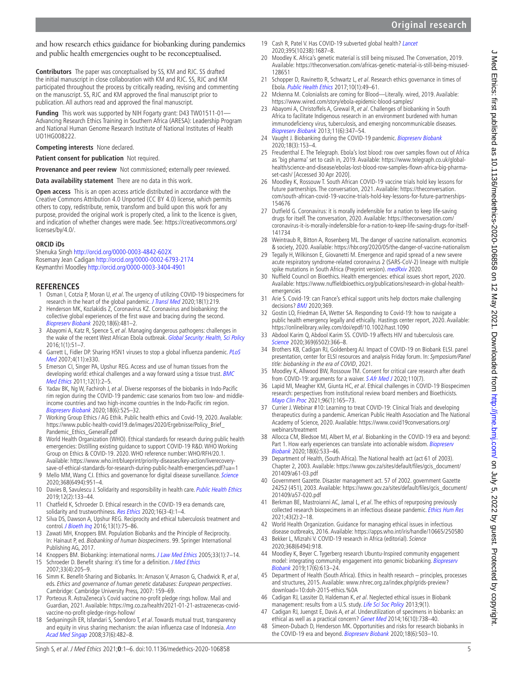$\epsilon$ 

J Med Ethics: first published as 10.1136/medethics-2020-106858 on 12 May 2021. Downloaded from <http://jme.bmj.com/> on July 5, 2022 by guest. Protected by copyright.

Med Ethics: first published as 10.1136/medethics-2020-106858 on 12 May 2021. Downloaded from http://jme.bmj.com/ on July 5,

and how research ethics guidance for biobanking during pandemics and public health emergencies ought to be reconceptualised.

**Contributors** The paper was conceptualised by SS, KM and RJC. SS drafted the initial manuscript in close collaboration with KM and RJC. SS, RJC and KM participated throughout the process by critically reading, revising and commenting on the manuscript. SS, RJC and KM approved the final manuscript prior to publication. All authors read and approved the final manuscript.

**Funding** This work was supported by NIH Fogarty grant: D43 TW01511-01— Advancing Research Ethics Training in Southern Africa (ARESA): Leadership Program and National Human Genome Research Institute of National Institutes of Health UO1HG008222.

**Competing interests** None declared.

**Patient consent for publication** Not required.

**Provenance and peer review** Not commissioned; externally peer reviewed.

**Data availability statement** There are no data in this work.

**Open access** This is an open access article distributed in accordance with the Creative Commons Attribution 4.0 Unported (CC BY 4.0) license, which permits others to copy, redistribute, remix, transform and build upon this work for any purpose, provided the original work is properly cited, a link to the licence is given, and indication of whether changes were made. See: [https://creativecommons.org/](https://creativecommons.org/licenses/by/4.0/) [licenses/by/4.0/.](https://creativecommons.org/licenses/by/4.0/)

#### **ORCID iDs**

Shenuka Singh <http://orcid.org/0000-0003-4842-602X> Rosemary Jean Cadigan<http://orcid.org/0000-0002-6793-2174> Keymanthri Moodley<http://orcid.org/0000-0003-3404-4901>

#### **REFERENCES**

- <span id="page-4-0"></span>1 Osman I, Cotzia P, Moran U, et al. The urgency of utilizing COVID-19 biospecimens for research in the heart of the global pandemic. [J Transl Med](http://dx.doi.org/10.1186/s12967-020-02388-8) 2020;18(1):219
- 2 Henderson MK, Kozlakidis Z, Coronavirus KZ. Coronavirus and biobanking: the collective global experiences of the first wave and bracing during the second. [Biopreserv Biobank](http://dx.doi.org/10.1089/bio.2020.29077.mjk) 2020;18(6):481–2.
- <span id="page-4-1"></span>3 Abayomi A, Katz R, Spence S, et al. Managing dangerous pathogens: challenges in the wake of the recent West African Ebola outbreak. [Global Security: Health, Sci Policy](http://dx.doi.org/10.1080/23779497.2016.1228431) 2016;1(1):51–7.
- <span id="page-4-11"></span>4 Garrett L, Fidler DP. Sharing H5N1 viruses to stop a global influenza pandemic. PLoS [Med](http://dx.doi.org/10.1371/journal.pmed.0040330) 2007;4(11):e330.
- 5 Emerson CI, Singer PA, Upshur REG. Access and use of human tissues from the developing world: ethical challenges and a way forward using a tissue trust. **BMC** [Med Ethics](http://dx.doi.org/10.1186/1472-6939-12-2) 2011:12(1):2-5.
- <span id="page-4-2"></span>6 Yadav BK, Ng W, Fachiroh J, et al. Diverse responses of the biobanks in Indo-Pacific rim region during the COVID-19 pandemic: case scenarios from two low- and middleincome countries and two high-income countries in the Indo-Pacific rim region. [Biopreserv Biobank](http://dx.doi.org/10.1089/bio.2020.0078) 2020;18(6):525–32.
- <span id="page-4-3"></span>7 Working Group Ethics / AG Ethik. Public health ethics and Covid-19, 2020. Available: [https://www.public-health-covid19.de/images/2020/Ergebnisse/Policy\\_Brief\\_](https://www.public-health-covid19.de/images/2020/Ergebnisse/Policy_Brief_Pandemic_Ethics_GeneralF.pdf) [Pandemic\\_Ethics\\_GeneralF.pdf](https://www.public-health-covid19.de/images/2020/Ergebnisse/Policy_Brief_Pandemic_Ethics_GeneralF.pdf)
- <span id="page-4-4"></span>8 World Health Organization (WHO). Ethical standards for research during public health emergencies: Distilling existing guidance to support COVID-19 R&D. WHO Working Group on Ethics & COVID-19. 2020. WHO reference number: WHO/RFH/20.1. Available: [https://www.who.int/blueprint/priority-diseases/key-action/liverecovery](https://www.who.int/blueprint/priority-diseases/key-action/liverecovery-save-of-ethical-standards-for-research-during-public-health-emergencies.pdf?ua=1)[save-of-ethical-standards-for-research-during-public-health-emergencies.pdf?ua=1](https://www.who.int/blueprint/priority-diseases/key-action/liverecovery-save-of-ethical-standards-for-research-during-public-health-emergencies.pdf?ua=1)
- 9 Mello MM, Wang CJ. Ethics and governance for digital disease surveillance. [Science](http://dx.doi.org/10.1126/science.abb9045) 2020;368(6494):951–4.
- <span id="page-4-5"></span>10 Davies B, Savulescu J. Solidarity and responsibility in health care. [Public Health Ethics](http://dx.doi.org/10.1093/phe/phz008) 2019;12(2):133–44.
- 11 Chatfield K, Schroeder D. Ethical research in the COVID-19 era demands care, solidarity and trustworthiness. [Res Ethics](http://dx.doi.org/10.1177/1747016120945046) 2020;16(3-4):1-4.
- <span id="page-4-6"></span>12 Silva DS, Dawson A, Upshur REG. Reciprocity and ethical tuberculosis treatment and control. [J Bioeth Inq](http://dx.doi.org/10.1007/s11673-015-9691-z) 2016;13(1):75-86.
- 13 Zawati MH, Knoppers BM. Population Biobanks and the Principle of Reciprocity. In: Hainaut P, ed. Biobanking of human biospecimens. 99. Springer International Publishing AG, 2017.
- <span id="page-4-7"></span>14 Knoppers BM. Biobanking: international norms. [J Law Med Ethics](http://dx.doi.org/10.1111/j.1748-720X.2005.tb00205.x) 2005;33(1):7-14.
- <span id="page-4-8"></span>15 Schroeder D. Benefit sharing: it's time for a definition. [J Med Ethics](http://dx.doi.org/10.1136/jme.2006.016790) 2007;33(4):205–9.
- <span id="page-4-9"></span>16 Simm K. Benefit-Sharing and Biobanks. In: Arnason V, Arnason G, Chadwick R, et al, eds. Ethics and governance of human genetic databases: European perspectives. Cambridge: Cambridge University Press, 2007: 159–69.
- <span id="page-4-10"></span>17 Porteous R. AstraZeneca's Covid vaccine no-profit pledge rings hollow. Mail and Guardian, 2021. Available: [https://mg.co.za/health/2021-01-21-astrazenecas-covid](https://mg.co.za/health/2021-01-21-astrazenecas-covid-vaccine-no-profit-pledge-rings-hollow/)[vaccine-no-profit-pledge-rings-hollow/](https://mg.co.za/health/2021-01-21-astrazenecas-covid-vaccine-no-profit-pledge-rings-hollow/)
- <span id="page-4-12"></span>18 Sedyaningsih ER, Isfandari S, Soendoro T, et al. Towards mutual trust, transparency and equity in virus sharing mechanism: the avian influenza case of Indonesia. Ann [Acad Med Singap](http://www.ncbi.nlm.nih.gov/pubmed/18618060) 2008;37(6):482–8.
- 19 Cash R, Patel V. Has COVID-19 subverted global health? [Lancet](http://dx.doi.org/10.1016/S0140-6736(20)31089-8) 2020;395(10238):1687–8.
- <span id="page-4-13"></span>20 Moodley K. Africa's genetic material is still being misused. The Conversation, 2019. Available: [https://theconversation.com/africas-genetic-material-is-still-being-misused-](https://theconversation.com/africas-genetic-material-is-still-being-misused-128651)[128651](https://theconversation.com/africas-genetic-material-is-still-being-misused-128651)
- <span id="page-4-15"></span>21 Schopper D, Ravinetto R, Schwartz L, et al. Research ethics governance in times of Ebola. [Public Health Ethics](http://dx.doi.org/10.1093/phe/phw039) 2017;10(1):49–61.
- 22 Mckenna M. Colonialists are coming for Blood—Literally. wired, 2019. Available: <https://www.wired.com/story/ebola-epidemic-blood-samples/>
- <span id="page-4-14"></span>23 Abayomi A, Christoffels A, Grewal R, et al. Challenges of biobanking in South Africa to facilitate Indigenous research in an environment burdened with human immunodeficiency virus, tuberculosis, and emerging noncommunicable diseases. [Biopreserv Biobank](http://dx.doi.org/10.1089/bio.2013.0049) 2013;11(6):347–54.
- <span id="page-4-33"></span>24 Vaught J. Biobanking during the COVID-19 pandemic. [Biopreserv Biobank](http://dx.doi.org/10.1089/bio.2020.29069.jjv) 2020;18(3):153–4.
- <span id="page-4-16"></span>25 Freudenthal E. The Telegraph. Ebola's lost blood: row over samples flown out of Africa as 'big pharma' set to cash in, 2019. Available: [https://www.telegraph.co.uk/global](https://www.telegraph.co.uk/global-health/science-and-disease/ebolas-lost-blood-row-samples-flown-africa-big-pharma-set-cash/)[health/science-and-disease/ebolas-lost-blood-row-samples-flown-africa-big-pharma](https://www.telegraph.co.uk/global-health/science-and-disease/ebolas-lost-blood-row-samples-flown-africa-big-pharma-set-cash/)[set-cash/](https://www.telegraph.co.uk/global-health/science-and-disease/ebolas-lost-blood-row-samples-flown-africa-big-pharma-set-cash/) [Accessed 30 Apr 2020].
- 26 Moodley K, Rossouw T. South African COVID-19 vaccine trials hold key lessons for future partnerships. The conversation, 2021. Available: [https://theconversation.](https://theconversation.com/south-african-covid-19-vaccine-trials-hold-key-lessons-for-future-partnerships-154676) [com/south-african-covid-19-vaccine-trials-hold-key-lessons-for-future-partnerships-](https://theconversation.com/south-african-covid-19-vaccine-trials-hold-key-lessons-for-future-partnerships-154676)[154676](https://theconversation.com/south-african-covid-19-vaccine-trials-hold-key-lessons-for-future-partnerships-154676)
- <span id="page-4-17"></span>27 Dutfield G. Coronavirus: it is morally indefensible for a nation to keep life-saving drugs for itself. The conversation, 2020. Available: [https://theconversation.com/](https://theconversation.com/coronavirus-it-is-morally-indefensible-for-a-nation-to-keep-life-saving-drugs-for-itself-141734) [coronavirus-it-is-morally-indefensible-for-a-nation-to-keep-life-saving-drugs-for-itself-](https://theconversation.com/coronavirus-it-is-morally-indefensible-for-a-nation-to-keep-life-saving-drugs-for-itself-141734)[141734](https://theconversation.com/coronavirus-it-is-morally-indefensible-for-a-nation-to-keep-life-saving-drugs-for-itself-141734)
- 28 Weintraub R, Bitton A, Rosenberg ML. The danger of vaccine nationalism. economics & society, 2020. Available: <https://hbr.org/2020/05/the-danger-of-vaccine-nationalism>
- <span id="page-4-18"></span>29 Tegally H, Wilkinson E, Giovanetti M. Emergence and rapid spread of a new severe acute respiratory syndrome-related coronavirus 2 (SARS-CoV-2) lineage with multiple spike mutations in South Africa (Preprint version). [medRxiv](http://dx.doi.org/10.1101/2020.12.21.20248640) 2020.
- <span id="page-4-19"></span>30 Nuffield Council on Bioethics. Health emergencies: ethical issues short report, 2020. Available: [https://www.nuffieldbioethics.org/publications/research-in-global-health](https://www.nuffieldbioethics.org/publications/research-in-global-health-emergencies)[emergencies](https://www.nuffieldbioethics.org/publications/research-in-global-health-emergencies)
- 31 Arie S. Covid-19: can France's ethical support units help doctors make challenging decisions? [BMJ](http://dx.doi.org/10.1136/bmj.m1291) 2020;369.
- 32 Gostin LO, Friedman EA, Wetter SA. Responding to Covid-19: how to navigate a public health emergency legally and ethically. Hastings center report, 2020. Available: <https://onlinelibrary.wiley.com/doi/epdf/10.1002/hast.1090>
- 33 Abdool Karim Q, Abdool Karim SS. COVID-19 affects HIV and tuberculosis care. [Science](http://dx.doi.org/10.1126/science.abd1072) 2020;369(6502):366-8.
- <span id="page-4-20"></span>34 Brothers KB, Cadigan RJ, Goldenberg AJ. Impact of COVID-19 on Biobank ELSI. panel presentation, center for ELSI resources and analysis Friday forum. In: Symposium/Panel title: biobanking in the era of COVID, 2021.
- <span id="page-4-21"></span>35 Moodley K, Allwood BW, Rossouw TM. Consent for critical care research after death from COVID-19: arguments for a waiver. *[S Afr Med J](http://www.ncbi.nlm.nih.gov/pubmed/32880337)* 2020;110(7).
- <span id="page-4-22"></span>36 Lapid MI, Meagher KM, Giunta HC, et al. Ethical challenges in COVID-19 Biospecimen research: perspectives from institutional review board members and Bioethicists. [Mayo Clin Proc](http://dx.doi.org/10.1016/j.mayocp.2020.10.021) 2021;96(1):165-73.
- <span id="page-4-23"></span>37 Currier J. Webinar #10: Learning to treat COVID-19: Clinical Trials and developing therapeutics during a pandemic. American Public Health Association and The National Academy of Science, 2020. Available: [https://www.covid19conversations.org/](https://www.covid19conversations.org/webinars/treatment) [webinars/treatment](https://www.covid19conversations.org/webinars/treatment)
- <span id="page-4-24"></span>38 Allocca CM, Bledsoe MJ, Albert M, et al. Biobanking in the COVID-19 era and beyond: Part 1. How early experiences can translate into actionable wisdom. Biopreserv [Biobank](http://dx.doi.org/10.1089/bio.2020.0082) 2020;18(6):533–46.
- <span id="page-4-25"></span>39 Department of Health, (South Africa). The National health act (act 61 of 2003). Chapter 2, 2003. Available: [https://www.gov.za/sites/default/files/gcis\\_document/](https://www.gov.za/sites/default/files/gcis_document/201409/a61-03.pdf) [201409/a61-03.pdf](https://www.gov.za/sites/default/files/gcis_document/201409/a61-03.pdf)
- 40 Government Gazette. Disaster management act. 57 of 2002. government Gazette 24252 (451), 2003. Available: [https://www.gov.za/sites/default/files/gcis\\_document/](https://www.gov.za/sites/default/files/gcis_document/201409/a57-020.pdf) [201409/a57-020.pdf](https://www.gov.za/sites/default/files/gcis_document/201409/a57-020.pdf)
- <span id="page-4-26"></span>41 Berkman BE, Mastroianni AC, Jamal L, et al. The ethics of repurposing previously collected research biospecimens in an infectious disease pandemic. [Ethics Hum Res](http://dx.doi.org/10.1002/eahr.500083) 2021;43(2):2–18.
- <span id="page-4-27"></span>42 World Health Organization. Guidance for managing ethical issues in infectious disease outbreaks, 2016. Available: <https://apps.who.int/iris/handle/10665/250580>
- <span id="page-4-28"></span>43 Bekker L, Mizrahi V. COVID-19 research in Africa (editorial). Science 2020;368(6494):918.
- <span id="page-4-29"></span>44 Moodley K, Beyer C. Tygerberg research Ubuntu-Inspired community engagement model: integrating community engagement into genomic biobanking. Biopreserv [Biobank](http://dx.doi.org/10.1089/bio.2018.0136) 2019;17(6):613–24.
- <span id="page-4-30"></span>45 Department of Health (South Africa). Ethics in health research – principles, processes and structures, 2015. Available: [www.nhrec.org.za/index.php/grids-preview?](www.nhrec.org.za/index.php/grids-preview?download=10:doh-2015-ethics.%0A) [download=10:doh-2015-ethics.%0A](www.nhrec.org.za/index.php/grids-preview?download=10:doh-2015-ethics.%0A)
- <span id="page-4-31"></span>46 Cadigan RJ, Lassiter D, Haldeman K, et al. Neglected ethical issues in Biobank management: results from a U.S. study. [Life Sci Soc Policy](http://dx.doi.org/10.1186/2195-7819-9-1) 2013;9(1).
- 47 Cadigan RJ, Juengst E, Davis A, et al. Underutilization of specimens in biobanks: an ethical as well as a practical concern? [Genet Med](http://dx.doi.org/10.1038/gim.2014.38) 2014;16(10):738–40.
- <span id="page-4-32"></span>48 Simeon-Dubach D, Henderson MK. Opportunities and risks for research biobanks in the COVID-19 era and beyond. [Biopreserv Biobank](http://dx.doi.org/10.1089/bio.2020.0079) 2020;18(6):503-10.

2022 by guest. Protected by copyright